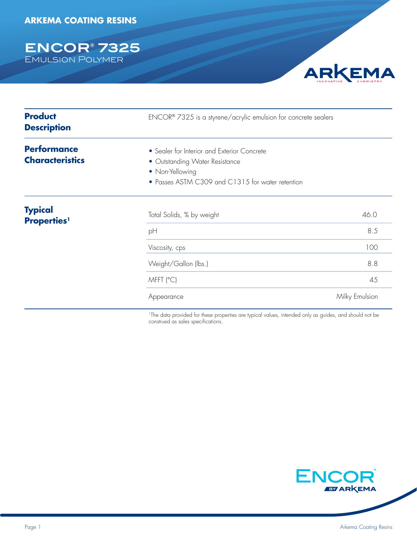**ENCOR® 7325** Emulsion Polymer

# ARKEMA

| <b>Product</b><br><b>Description</b>             | ENCOR® 7325 is a styrene/acrylic emulsion for concrete sealers                                                                                       |                |  |
|--------------------------------------------------|------------------------------------------------------------------------------------------------------------------------------------------------------|----------------|--|
| <b>Performance</b><br><b>Characteristics</b>     | • Sealer for Interior and Exterior Concrete<br>• Outstanding Water Resistance<br>• Non-Yellowing<br>• Passes ASTM C309 and C1315 for water retention |                |  |
| <b>Typical</b><br><b>Properties</b> <sup>1</sup> | Total Solids, % by weight                                                                                                                            | 46.0           |  |
|                                                  | pH                                                                                                                                                   | 8.5            |  |
|                                                  | Viscosity, cps                                                                                                                                       | 100            |  |
|                                                  | Weight/Gallon (lbs.)                                                                                                                                 | 8.8            |  |
|                                                  | MFFT (°C)                                                                                                                                            | 45             |  |
|                                                  | Appearance                                                                                                                                           | Milky Emulsion |  |
|                                                  | <sup>1</sup> The data provided for these properties are typical values, intended only as guides, and should not be                                   |                |  |

1The data provided for these properties are typical values, intended only as guides, and should not be construed as sales specifications.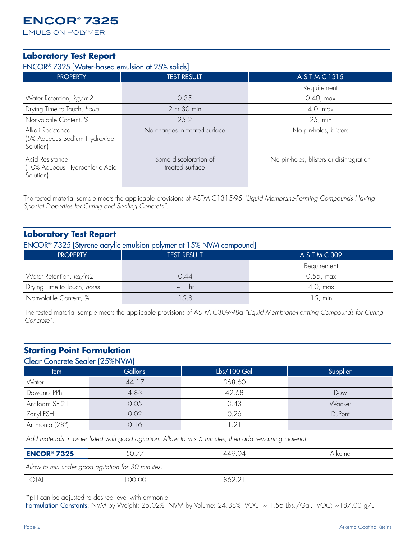## **ENCOR® 7325**

Emulsion Polymer

#### **Laboratory Test Report**

ENCOR® 7325 [Water-based emulsion at 25% solids]

| <b>PROPERTY</b>                                                | <b>TEST RESULT</b>                       | <b>ASTMC1315</b>                         |
|----------------------------------------------------------------|------------------------------------------|------------------------------------------|
|                                                                |                                          | Requirement                              |
| Water Retention, $kg/m2$                                       | 0.35                                     | $0.40$ , max                             |
| Drying Time to Touch, hours                                    | 2 hr 30 min                              | $4.0, \text{max}$                        |
| Nonvolatile Content, %                                         | 25.2                                     | $25$ , min                               |
| Alkali Resistance<br>(5% Aqueous Sodium Hydroxide<br>Solution) | No changes in treated surface            | No pin-holes, blisters                   |
| Acid Resistance<br>(10% Aqueous Hydrochloric Acid<br>Solution) | Some discoloration of<br>treated surface | No pin-holes, blisters or disintegration |

The tested material sample meets the applicable provisions of ASTM C1315-95 *"Liquid Membrane-Forming Compounds Having Special Properties for Curing and Sealing Concrete".*

### **Laboratory Test Report**

ENCOR® 7325 [Styrene acrylic emulsion polymer at 15% NVM compound]

| <b>PROPERTY</b>             | <b>TEST RESULT</b> | ASTMC309          |
|-----------------------------|--------------------|-------------------|
|                             |                    | Requirement       |
| Water Retention, $kg/m2$    | 0.44               | $0.55$ , max      |
| Drying Time to Touch, hours | $\sim$ 1 hr        | $4.0, \text{max}$ |
| Nonvolatile Content, %      | 15.8               | 15. min.          |

The tested material sample meets the applicable provisions of ASTM C309-98a *"Liquid Membrane-Forming Compounds for Curing Concrete".*

#### **Starting Point Formulation** Clear Concrete Sealer (25%NVM)

| Clear Concrete Sealer (ZO/6NV/W) |                      |               |          |
|----------------------------------|----------------------|---------------|----------|
| <b>Item</b>                      | Gallons <sup>1</sup> | $Lbs/100$ Gal | Supplier |
| Water                            | 44.17                | 368.60        |          |
| Dowanol PPh                      | 4.83                 | 42.68         | Dow      |
| Antifoam SE-21                   | 0.05                 | 0.43          | Wacker   |
| Zonyl FSH                        | 0.02                 | 0.26          | DuPont   |
| Ammonia (28°)                    | 0.16                 |               |          |

*Add materials in order listed with good agitation. Allow to mix 5 minutes, then add remaining material.*

| <b>ENCOR<sup>®</sup> 7325</b> | 50.77                                             | 449.04 | Arkema |
|-------------------------------|---------------------------------------------------|--------|--------|
|                               | Allow to mix under good agitation for 30 minutes. |        |        |
| TOTAL                         | 00.00                                             | 862.2  |        |

\*pH can be adjusted to desired level with ammonia

Formulation Constants: NVM by Weight: 25.02% NVM by Volume: 24.38% VOC: ~ 1.56 Lbs./Gal. VOC: ~187.00 g/L